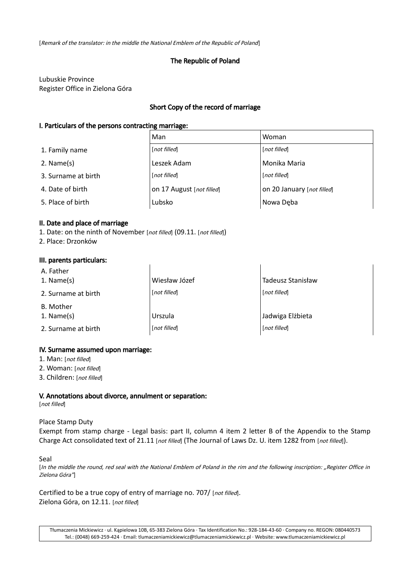[Remark of the translator: in the middle the National Emblem of the Republic of Poland]

# The Republic of Poland

Lubuskie Province Register Office in Zielona Góra

## Short Copy of the record of marriage

### I. Particulars of the persons contracting marriage:

|                     | Man                       | Woman                      |  |
|---------------------|---------------------------|----------------------------|--|
| 1. Family name      | [not filled]              | [not filled]               |  |
| $2.$ Name(s)        | Leszek Adam               | Monika Maria               |  |
| 3. Surname at birth | [not filled]              | [not filled]               |  |
| 4. Date of birth    | on 17 August [not filled] | on 20 January [not filled] |  |
| 5. Place of birth   | Lubsko                    | Nowa Deba                  |  |

### II. Date and place of marriage

1. Date: on the ninth of November [not filled] (09.11. [not filled])

2. Place: Drzonków

#### III. parents particulars:

| A. Father<br>1. Name $(s)$ | Wiesław Józef | Tadeusz Stanisław |
|----------------------------|---------------|-------------------|
| 2. Surname at birth        | [not filled]  | [not filled]      |
| B. Mother<br>1. Name $(s)$ | Urszula       | Jadwiga Elżbieta  |
| 2. Surname at birth        | [not filled]  | [not filled]      |

### IV. Surname assumed upon marriage:

- 1. Man: [not filled]
- 2. Woman: [not filled]
- 3. Children: [not filled]

### V. Annotations about divorce, annulment or separation:

[not filled]

#### Place Stamp Duty

Exempt from stamp charge - Legal basis: part II, column 4 item 2 letter B of the Appendix to the Stamp Charge Act consolidated text of 21.11 [not filled] (The Journal of Laws Dz. U. item 1282 from [not filled]).

#### Seal

[In the middle the round, red seal with the National Emblem of Poland in the rim and the following inscription: "Register Office in Zielona Góra"]

Certified to be a true copy of entry of marriage no. 707/ [not filled]. Zielona Góra, on 12.11. [not filled]

Tłumaczenia Mickiewicz · ul. Kąpielowa 10B, 65-383 Zielona Góra · Tax Identification No.: 928-184-43-60 · Company no. REGON: 080440573 Tel.: (0048) 669-259-424 · Email: tlumaczeniamickiewicz@tlumaczeniamickiewicz.pl · Website: www.tlumaczeniamickiewicz.pl